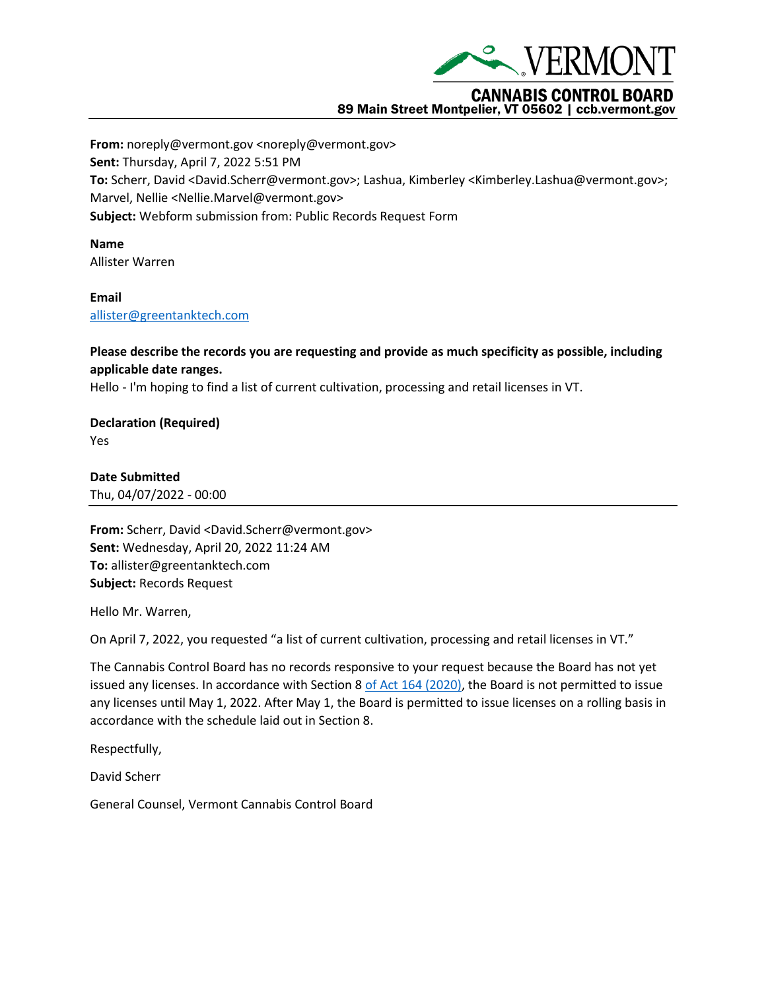

## 89 Main Street Montpelier, VT 05602 | ccb.vermont.gov

**From:** noreply@vermont.gov <noreply@vermont.gov> **Sent:** Thursday, April 7, 2022 5:51 PM **To:** Scherr, David <David.Scherr@vermont.gov>; Lashua, Kimberley <Kimberley.Lashua@vermont.gov>; Marvel, Nellie <Nellie.Marvel@vermont.gov> **Subject:** Webform submission from: Public Records Request Form

**Name** Allister Warren

**Email** [allister@greentanktech.com](mailto:allister@greentanktech.com)

**Please describe the records you are requesting and provide as much specificity as possible, including applicable date ranges.**

Hello - I'm hoping to find a list of current cultivation, processing and retail licenses in VT.

**Declaration (Required)** Yes

**Date Submitted** Thu, 04/07/2022 - 00:00

**From:** Scherr, David <David.Scherr@vermont.gov> **Sent:** Wednesday, April 20, 2022 11:24 AM **To:** allister@greentanktech.com **Subject:** Records Request

Hello Mr. Warren,

On April 7, 2022, you requested "a list of current cultivation, processing and retail licenses in VT."

The Cannabis Control Board has no records responsive to your request because the Board has not yet issued any licenses. In accordance with Section 8 [of Act 164 \(2020\),](https://ccb.vermont.gov/sites/ccb/files/documents/ACT164%20As%20Enacted_1.pdf) the Board is not permitted to issue any licenses until May 1, 2022. After May 1, the Board is permitted to issue licenses on a rolling basis in accordance with the schedule laid out in Section 8.

Respectfully,

David Scherr

General Counsel, Vermont Cannabis Control Board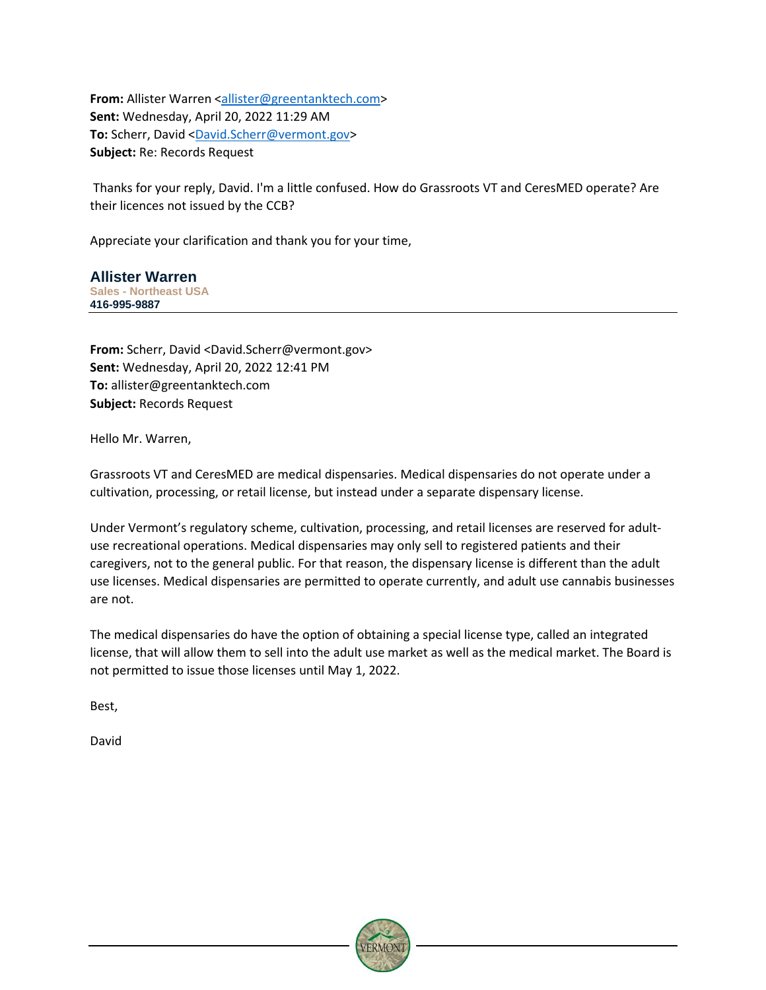**From:** Allister Warren [<allister@greentanktech.com>](mailto:allister@greentanktech.com) **Sent:** Wednesday, April 20, 2022 11:29 AM **To:** Scherr, David [<David.Scherr@vermont.gov>](mailto:David.Scherr@vermont.gov) **Subject:** Re: Records Request

Thanks for your reply, David. I'm a little confused. How do Grassroots VT and CeresMED operate? Are their licences not issued by the CCB?

Appreciate your clarification and thank you for your time,

**Allister Warren Sales - Northeast USA 416-995-9887**

**From:** Scherr, David <David.Scherr@vermont.gov> **Sent:** Wednesday, April 20, 2022 12:41 PM **To:** allister@greentanktech.com **Subject:** Records Request

Hello Mr. Warren,

Grassroots VT and CeresMED are medical dispensaries. Medical dispensaries do not operate under a cultivation, processing, or retail license, but instead under a separate dispensary license.

Under Vermont's regulatory scheme, cultivation, processing, and retail licenses are reserved for adultuse recreational operations. Medical dispensaries may only sell to registered patients and their caregivers, not to the general public. For that reason, the dispensary license is different than the adult use licenses. Medical dispensaries are permitted to operate currently, and adult use cannabis businesses are not.

The medical dispensaries do have the option of obtaining a special license type, called an integrated license, that will allow them to sell into the adult use market as well as the medical market. The Board is not permitted to issue those licenses until May 1, 2022.

Best,

David